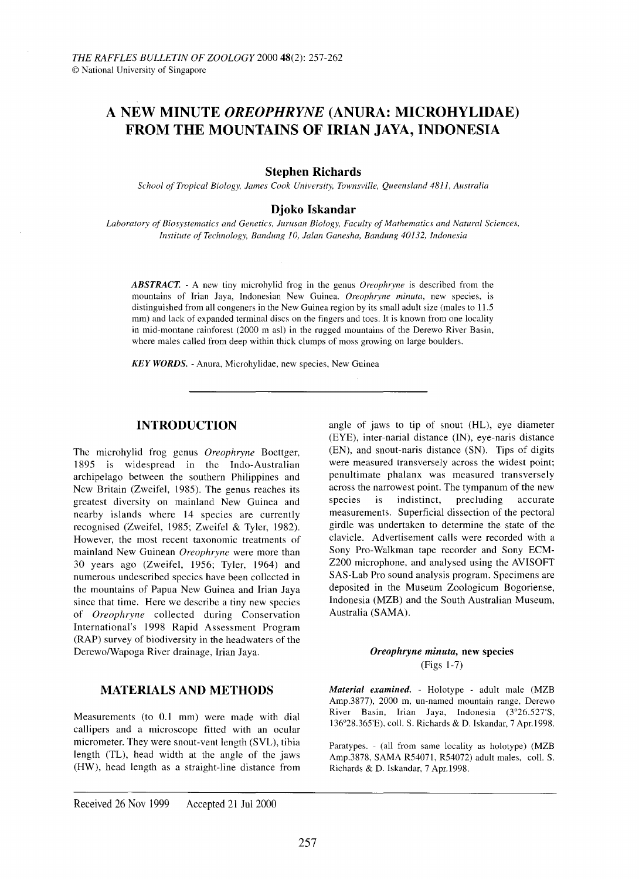# **A NEW MINUTE** *OREOPHRYNE* **(ANURA: MICROHYLIDAE) FROM THE MOUNTAINS OF IRIAN JAYA, INDONESIA**

#### **Stephen Richards**

*School of Tropical Biology, lames Cook University, Townsville, Queensland 4811, Australia*

# **Djoko Iskandar**

*Laboratory of Biosystematics and Genetics, lurusan Biology, Faculty of Mathematics and Natural Sciences, Institute of Technology, Bandung* 10, *lalan Ganesha, Bandung* 40132, *Indonesia*

*ABSTRACT.* - A new tiny microhylid frog in the genus *Oreophryne* is described from the mountains of Irian Jaya, Indonesian New Guinea. *Oreophryne minuta,* new species, is distinguished from all congeners in the New Guinea region by its small adult size (males to 11.5 mm) and lack of expanded terminal discs on the fingers and toes. It is known from one locality in mid-montane rainforest (2000 m asl) in the rugged mountains of the Derewo River Basin, where males called from deep within thick clumps of moss growing on large boulders.

*KEY WORDS.* - Anura, Microhylidae, new species, New Guinea

#### **INTRODUCTION**

The microhylid frog genus *Oreophryne* Boettger, 1895 IS widespread in the Indo-Australian archipelago between the southern Philippines and New Britain (Zweifel, 1985). The genus reaches its greatest diversity on mainland New Guinea and nearby islands where 14 species are currently recognised (Zweifel, 1985; Zweifel & Tyler, 1982). However, the most recent taxonomic treatments of mainland New Guinean *Oreophryne* were more than 30 years ago (Zweifel, 1956; Tyler, 1964) and numerous undescribed species have been collected in the mountains of Papua New Guinea and Irian Jaya since that time. Here we describe a tiny new species of *Oreophryne* collected during Conservation International's 1998 Rapid Assessment Program (RAP) survey of biodiversity in the headwaters of the Derewo/Wapoga River drainage, Irian Jaya.

#### **MATERIALS AND METHODS**

Measurements (to 0.1 mm) were made with dial callipers and a microscope fitted with an ocular micrometer. They were snout-vent length (SVL), tibia length (TL), head width at the angle of the jaws (HW), head length as a straight-line distance from

(Figs 1-7) *Material examined.* - Holotype - adult male (MZB Amp.3877), 2000 m, un-named mountain range, Derewo River Basin, Irian Jaya, Indonesia (3°26.527'S, I36°28.365'E), coIl. S. Richards & D. Iskandar, 7 Apr.1998.

Paratypes. - (all from same locality as holotype) (MZB Amp.3878, SAMA R54071, R54072) adult males, coIl. S. Richards & D. Iskandar, 7 Apr.1998.

*Oreophryne minuta,* new species

(EYE), inter-narial distance (IN), eye-naris distance (EN), and snout-naris distance (SN). Tips of digits were measured transversely across the widest point; penultimate phalanx was measured transversely across the narrowest point. The tympanum of the new species is indistinct, precluding accurate measurements. Superficial dissection of the pectoral girdle was undertaken to determine the state of the clavicle. Advertisement calls were recorded with a Sony Pro-Walkman tape recorder and Sony ECM-Z200 microphone, and analysed using the AVISOFT SAS-Lab Pro sound analysis program. Specimens are deposited in the Museum Zoologicum Bogoriense, Indonesia (MZB) and the South Australian Museum, Australia (SAMA).

angle of jaws to tip of snout (HL), eye diameter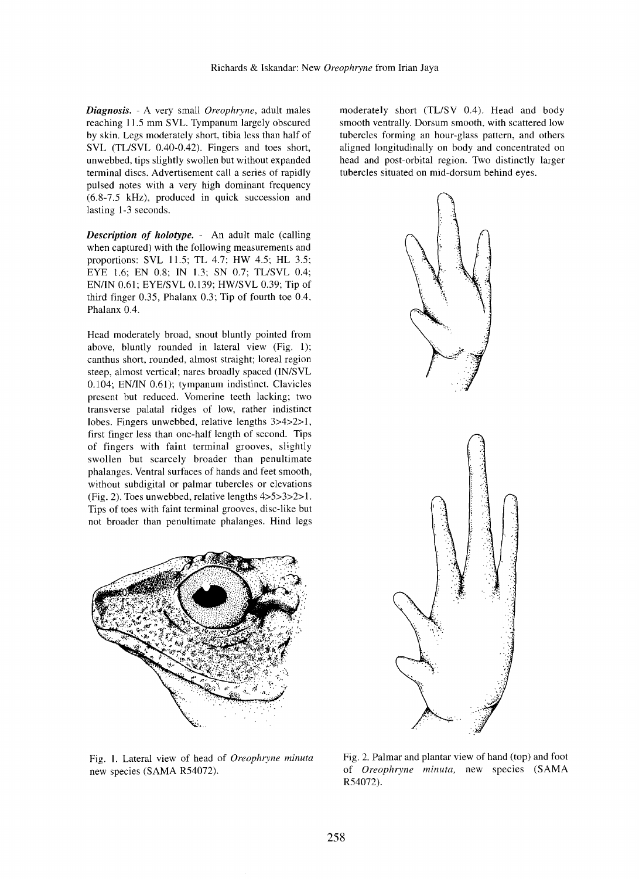*Diagnosis.* - A very small *Oreophryne,* adult males reaching 11.5 mm SVL. Tympanum largely obscured by skin. Legs moderately short, tibia less than half of SVL (TL/SVL 0.40-0.42). Fingers and toes short, unwebbed, tips slightly swollen but without expanded terminal discs. Advertisement call a series of rapidly pulsed notes with a very high dominant frequency (6.8-7.5 kHz), produced in quick succession and lasting 1-3 seconds.

*Description of holotype.* - An adult male (calling when captured) with the following measurements and proportions: SVL 11.5; TL 4.7; HW 4.5; HL 3.5; EYE 1.6; EN 0.8; IN 1.3; SN 0.7; TL/SVL 0.4; EN/IN 0.61; EYE/SVL 0.139; HW/SVL 0.39; Tip of third finger 0.35, Phalanx 0.3; Tip of fourth toe 0.4, Phalanx 0.4.

Head moderately broad, snout bluntly pointed from above, bluntly rounded in lateral view (Fig. 1); canthus short, rounded, almost straight; loreal region steep, almost vertical; nares broadly spaced (IN/SVL 0.104; EN/IN 0.61); tympanum indistinct. Clavicles present but reduced. Vomerine teeth lacking; two transverse palatal ridges of low, rather indistinct lobes. Fingers unwebbed, relative lengths 3>4>2>I, first finger less than one-half length of second. Tips of fingers with faint terminal grooves, slightly swollen but scarcely broader than penultimate phalanges. Ventral surfaces of hands and feet smooth, without subdigital or palmar tubercles or elevations (Fig. 2). Toes unwebbed, relative lengths 4>5>3>2> I. Tips of toes with faint terminal grooves, disc-like but not broader than penultimate phalanges. Hind legs



Fig. l. Lateral view of head of *Oreophryne minuta* new species (SAMA R54072).

moderately short (TL/SV 0.4). Head and body smooth ventrally. Dorsum smooth, with scattered low tubercles forming an hour-glass pattern, and others aligned longitudinally on body and concentrated on head and post-orbital region. Two distinctly larger tubercles situated on mid-dorsum behind eyes.



Fig. 2. Palmar and plantar view of hand (top) and foot of *Oreophryne minuta,* new species (SAMA R54072),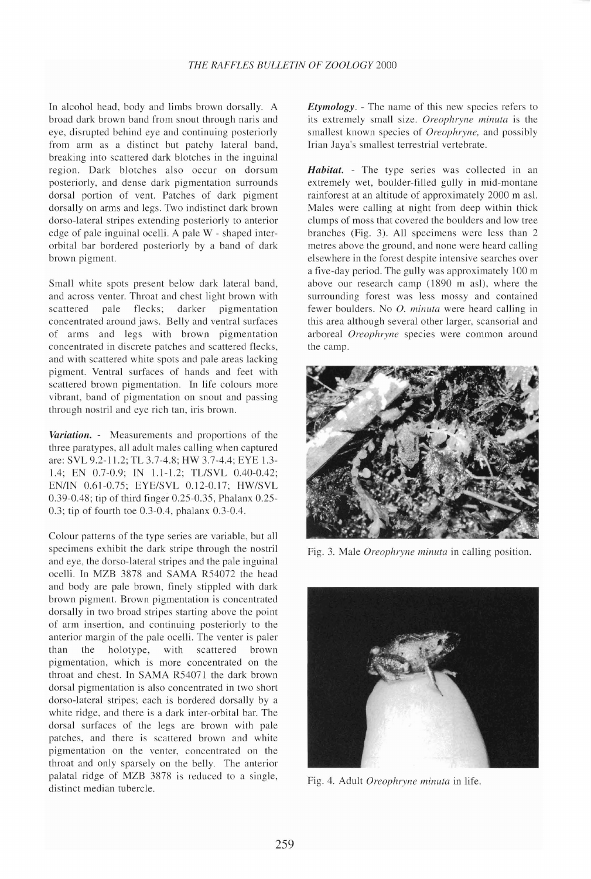In alcohol head, body and limbs brown dorsally. A broad dark brown band from snout through naris and eye, disrupted behind eye and continuing posteriorly from arm as a distinct but patchy lateral band, breaking into scattered dark blotches in the inguinal region. Dark blotches also occur on dorsum posteriorly, and dense dark pigmentation surrounds dorsal portion of vent. Patches of dark pigment dorsally on arms and legs. Two indistinct dark brown dorso-lateral stripes extending posteriorly to anterior edge of pale inguinal ocelli. A pale W - shaped interorbital bar bordered posteriorly by a band of dark brown pigment.

Small white spots present below dark lateral band, and across venter. Throat and chest light brown with scattered pale flecks; darker pigmentation concentrated around jaws. Belly and ventral surfaces of arms and legs with brown pigmentation concentrated in discrete patches and scattered flecks, and with scattered white spots and pale areas lacking pigment. Ventral surfaces of hands and feet with scattered brown pigmentation. In life colours more vibrant, band of pigmentation on snout and passing through nostril and eye rich tan, iris brown.

*Variation.* - Measurements and proportions of the three paratypes, all adult males calling when captured are: SVL 9.2-11.2; TL 3.7-4.8; HW 3.7-4.4; EYE 1.3- 1.4; EN 0.7-0.9; IN 1.1-1.2; TL/SVL 0.40-0.42; EN/IN 0.61-0.75; EYE/SVL 0.12-0.17; HW/SVL 0.39-0.48; tip of third finger 0.25-0.35, Phalanx 0.25- 0.3; tip of fourth toe 0.3-0.4, phalanx 0.3-0.4.

Colour patterns of the type series are variable, but all specimens exhibit the dark stripe through the nostril and eye, the dorso-lateral stripes and the pale inguinal ocelli. In MZB 3878 and SAMA R54072 the head and body are pale brown, finely stippled with dark brown pigment. Brown pigmentation is concentrated dorsally in two broad stripes starting above the point of arm insertion, and continuing posteriorly to the anterior margin of the pale ocelli. The venter is paler than the holotype, with scattered brown pigmentation, which is more concentrated on the throat and chest. In SAMA R54071 the dark brown dorsal pigmentation is also concentrated in two short dorso-lateral stripes; each is bordered dorsally by a white ridge, and there is a dark inter-orbital bar. The dorsal surfaces of the legs are brown with pale patches, and there is scattered brown and white pigmentation on the venter, concentrated on the throat and only sparsely on the belly. The anterior palatal ridge of MZB 3878 is reduced to a single, distinct median tubercle.

*Etymology.* - The name of this new species refers to its extremely small size. Oreophryne minuta is the smallest known species of *Oreophryne,* and possibly Irian Jaya's smallest terrestrial vertebrate.

*Habitat.* - The type series was collected in an extremely wet, boulder-filled gully in mid-montane rainforest at an altitude of approximately 2000 m asl. Males were calling at night from deep within thick clumps of moss that covered the boulders and low tree branches (Fig. 3). All specimens were less than 2 metres above the ground, and none were heard calling elsewhere in the forest despite intensive searches over a five-day period. The gully was approximately 100 m above our research camp (1890 m as!), where the surrounding forest was less mossy and contained fewer boulders. No O. *minula* were heard calling in this area although several other larger, scansorial and arboreal *Oreophryne* species were common around the camp.



Fig. 3. Male *Oreophryne minuta* in calling position.



Fig. 4. Adult *Oreophryne minula* in life.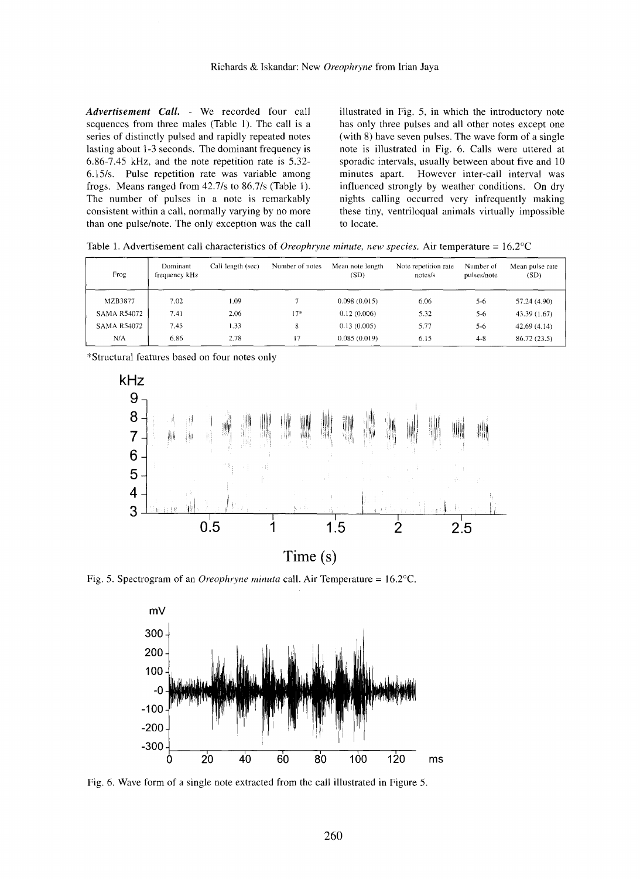*Advertisement Call.* - We recorded four call sequences from three males (Table I). The call is a series of distinctly pulsed and rapidly repeated notes lasting about 1-3 seconds. The dominant frequency is 6.86-7.45 kHz, and the note repetition rate is 5.32- 6.l5/s. Pulse repetition rate was variable among frogs. Means ranged from 42.7/s to 86.7/s (Table 1). The number of pulses in a note is remarkably consistent within a call, normally varying by no more than one pulse/note. The only exception was the call illustrated in Fig. 5, in which the introductory note has only three pulses and all other notes except one (with 8) have seven pulses. The wave form of a single note is illustrated in Fig. 6. Calls were uttered at sporadic intervals, usually between about five and 10 minutes apart. However inter-call interval was influenced strongly by weather conditions. On dry nights calling occurred very infrequently making these tiny, ventriloqual animals virtually impossible to locate.

Table 1. Advertisement call characteristics of *Oreophryne minute, new species.* Air temperature =16.2°C

| Frog               | Dominant<br>frequency kHz | Call length (sec) | Number of notes | Mean note length<br>(SD) | Note repetition rate<br>notes/s | Number of<br>pulses/note | Mean pulse rate<br>(SD) |
|--------------------|---------------------------|-------------------|-----------------|--------------------------|---------------------------------|--------------------------|-------------------------|
| MZB3877            | 7.02                      | LO9               |                 | 0.098(0.015)             | 6.06                            | 5-6                      | 57.24(4.90)             |
| <b>SAMA R54072</b> | 7.41                      | 2.06              | $17*$           | 0.12(0.006)              | 5.32                            | $5 - 6$                  | 43.39 (1.67)            |
| <b>SAMA R54072</b> | 7.45                      | 1.33              | 8               | 0.13(0.005)              | 5.77                            | $5-6$                    | 42.69(4.14)             |
| N/A                | 6.86                      | 2.78              | 17              | 0.085(0.019)             | 6.15                            | $4 - 8$                  | 86.72 (23.5)            |

\*Structural features based on four notes only



**Time (s)**

Fig. 5. Spectrogram of an *Oreophryne minuta* call. Air Temperature =16.2°C.



Fig. 6. Wave form of a single note extracted from the call illustrated in Figure 5.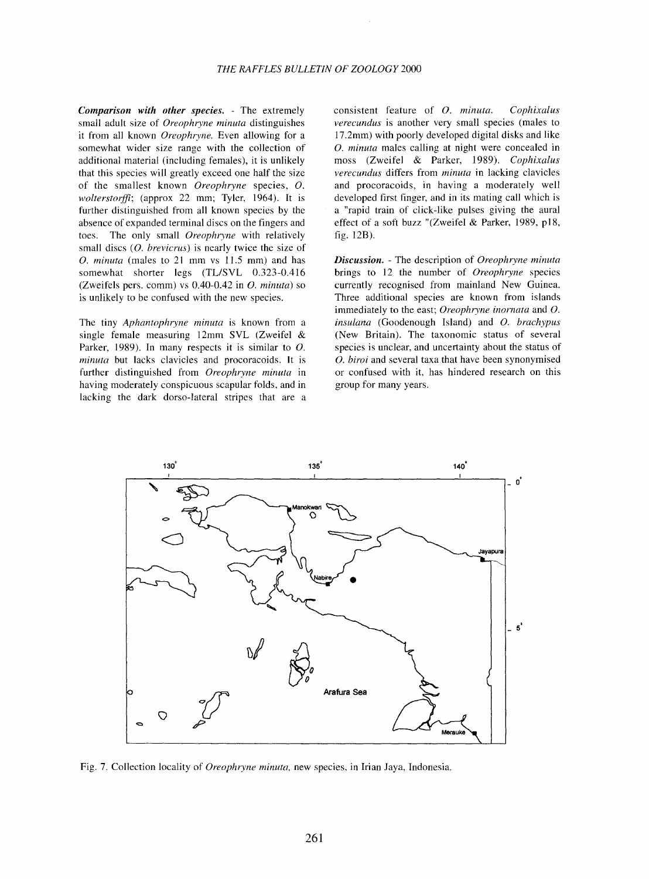*Comparison with other species.* - The extremely small adult size of *Oreophryne minuta* distinguishes it from all known *Oreophryne.* Even allowing for a somewhat wider size range with the collection of additional material (including females), it is unlikely that this species will greatly exceed one half the size of the smallest known *Oreophryne* species, O. *wolterstorffi;* (approx 22 mm; Tyler, 1964). It is further distinguished from all known species by the absence of expanded terminal discs on the fingers and toes. The only small *Oreophryne* with relatively small discs *(0. brevicrus)* is nearly twice the size of O. *minuta* (males to 21 mm vs 11.5 mm) and has somewhat shorter legs (TL/SVL 0.323-0.416) (Zweifels pers. comm) vs 0.40-0.42 in O. *minuta)* so is unlikely to be confused with the new species.

The tiny *Aphantophryne minuta* is known from a single female measuring 12mm SVL (Zweifel & Parker, 1989). In many respects it is similar to O. *minuta* but lacks clavicles and procoracoids. It is further distinguished from *Oreophryne minuta* in having moderately conspicuous scapular folds, and in lacking the dark dorso-lateral stripes that are a consistent feature of O. *minuta. Cophixalus verecundus* is another very small species (males to 17.2mm) with poorly developed digital disks and like O. *minuta* males calling at night were concealed in moss (Zweifel & Parker, 1989). *Cophixalus verecundus* differs from *minuta* in lacking clavicles and procoracoids, in having a moderately well developed first finger, and in its mating call which is a "rapid train of click-like pulses giving the aural effect of a soft buzz "(Zweifel & Parker, 1989, p18, fig. 12B).

*Discussion.* - The description of *Oreophryne minuta* brings to 12 the number of *Oreophryne* species currently recognised from mainland New Guinea. Three additional species are known from islands immediately to the east; *Oreophryne inornata* and O. *insulana* (Goodenough Island) and O. *brachypus* (New Britain). The taxonomic status of several species is unclear, and uncertainty about the status of O. *bimi* and several taxa that have been synonymised or confused with it, has hindered research on this group for many years.



Fig. 7. Collection locality of *Oreophryne minuta,* new species, in Irian Jaya, Indonesia.